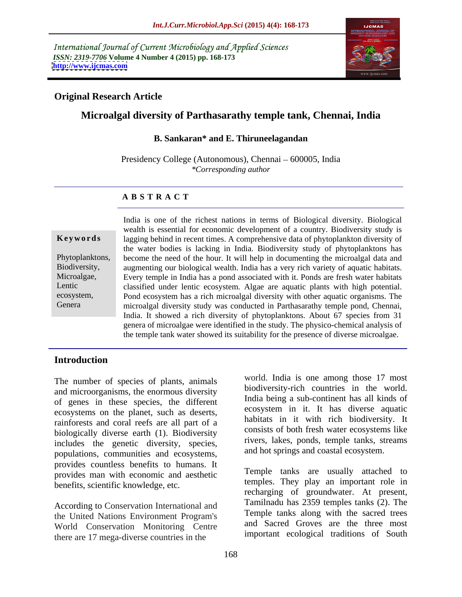International Journal of Current Microbiology and Applied Sciences *ISSN: 2319-7706* **Volume 4 Number 4 (2015) pp. 168-173 <http://www.ijcmas.com>**



## **Original Research Article**

# **Microalgal diversity of Parthasarathy temple tank, Chennai, India**

#### **B. Sankaran\* and E. Thiruneelagandan**

Presidency College (Autonomous), Chennai – 600005, India *\*Corresponding author*

### **A B S T R A C T**

Genera

India is one of the richest nations in terms of Biological diversity.Biological wealth is essential for economic development of a country. Biodiversity study is **Keywords** lagging behind in recent times. A comprehensive data of phytoplankton diversity of the water bodies is lacking in India. Biodiversity study of phytoplanktons has Phytoplanktons, become the need of the hour. It will help in documenting the microalgal data and Biodiversity, augmenting our biological wealth. India has a very rich variety of aquatic habitats. Every temple in India has a pond associated with it. Ponds are fresh water habitats Microalgae, Lentic classified under lentic ecosystem. Algae are aquatic plants with high potential. ecosystem, Pond ecosystem has a rich microalgal diversity with other aquatic organisms. The microalgal diversity study was conducted in Parthasarathy temple pond, Chennai, India. It showed a rich diversity of phytoplanktons. About 67 species from 31 genera of microalgae were identified in the study. The physico-chemical analysis of the temple tank water showed its suitability for the presence of diverse microalgae.

### **Introduction**

The number of species of plants, animals and microorganisms, the enormous diversity of genes in these species, the different ecosystems on the planet, such as deserts, rainforests and coral reefs are all part of a biologically diverse earth (1). Biodiversity includes the genetic diversity, species, populations, communities and ecosystems, provides countless benefits to humans. It provides man with economic and aesthetic benefits, scientific knowledge, etc.

According to Conservation International and the United Nations Environment Program's World Conservation Monitoring Centre there are 17 mega-diverse countries in the

world. India is one among those 17 most biodiversity-rich countries in the world. India being a sub-continent has all kinds of ecosystem in it. It has diverse aquatic habitats in it with rich biodiversity. It consists of both fresh water ecosystems like rivers, lakes, ponds, temple tanks, streams and hot springs and coastal ecosystem.

Temple tanks are usually attached to temples. They play an important role in recharging of groundwater. At present, Tamilnadu has 2359 temples tanks (2). The Temple tanks along with the sacred trees and Sacred Groves are the three most important ecological traditions of South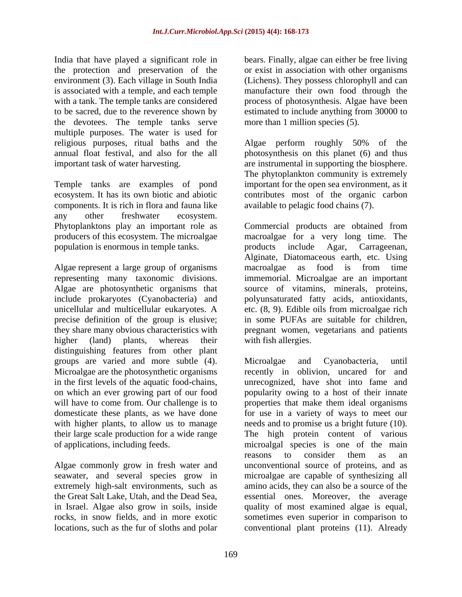India that have played a significant role in bears. Finally, algae can either be free living the protection and preservation of the oriental protection with other organisms environment (3). Each village in South India (Lichens). They possess chlorophyll and can is associated with a temple, and each temple manufacture their own food through the with a tank. The temple tanks are considered process of photosynthesis. Algae have been to be sacred, due to the reverence shown by estimated to include anything from 30000 to the devotees. The temple tanks serve multiple purposes. The water is used for religious purposes, ritual baths and the Algae perform roughly 50% of the

components. It is rich in flora and fauna like any other freshwater ecosystem. population is enormous in temple tanks.

Algae represent a large group of organisms macroalgae as food is from time unicellular and multicellular eukaryotes. A precise definition of the group is elusive; higher (land) plants, whereas their distinguishing features from other plant groups are varied and more subtle (4).

the Great Salt Lake, Utah, and the Dead Sea,

more than 1 million species  $(5)$ .

annual float festival, and also for the all photosynthesis on this planet (6) and thus important task of water harvesting. are instrumental in supporting the biosphere. Temple tanks are examples of pond important for the open sea environment, as it ecosystem. It has its own biotic and abiotic contributes most of the organic carbon Algae perform roughly 50% of the The phytoplankton community is extremely available to pelagic food chains (7).

Phytoplanktons play an important role as Commercial products are obtained from producers of this ecosystem. The microalgae macroalgae for a very long time. The representing many taxonomic divisions. immemorial. Microalgae are an important Algae are photosynthetic organisms that source of vitamins, minerals, proteins, include prokaryotes (Cyanobacteria) and polyunsaturated fatty acids, antioxidants, they share many obvious characteristics with pregnant women, vegetarians and patients products include Agar, Carrageenan, Alginate, Diatomaceous earth, etc. Using macroalgae as food is from time etc. (8, 9). Edible oils from microalgae rich in some PUFAs are suitable for children, with fish allergies.

Microalgae are the photosynthetic organisms recently in oblivion, uncared for and in the first levels of the aquatic food-chains, unrecognized, have shot into fame and on which an ever growing part of our food popularity owing to a host of their innate will have to come from. Our challenge is to properties that make them ideal organisms domesticate these plants, as we have done for use in a variety of ways to meet our with higher plants, to allow us to manage needs and to promise us a bright future (10). their large scale production for a wide range The high protein content of various of applications, including feeds. microalgal species is one of the main Algae commonly grow in fresh water and unconventional source of proteins, and as seawater, and several species grow in microalgae are capable of synthesizing all extremely high-salt environments, such as amino acids, they can also be a source of the in Israel. Algae also grow in soils, inside quality of most examined algae is equal, rocks, in snow fields, and in more exotic sometimes even superior in comparison to locations, such as the fur of sloths and polar conventional plant proteins (11). AlreadyMicroalgae and Cyanobacteria, until reasons to consider them as an essential ones. Moreover, the average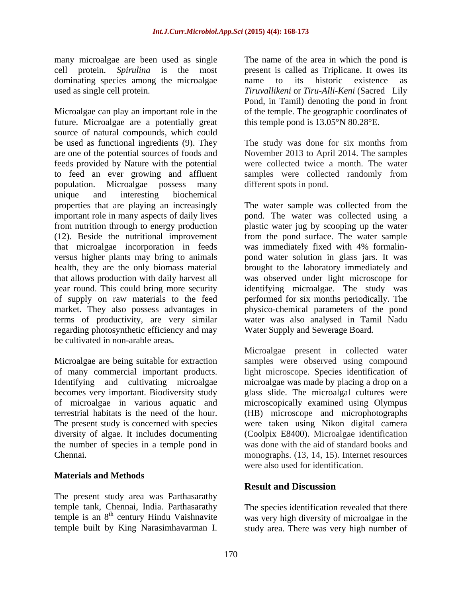many microalgae are been used as single The name of the area in which the pond is dominating species among the microalgae among to its historic existence as

Microalgae can play an important role in the future. Microalgae are a potentially great source of natural compounds, which could be used as functional ingredients (9). They The study was done for six months from are one of the potential sources of foods and feeds provided by Nature with the potential to feed an ever growing and affluent samples were collected randomly from population. Microalgae possess many unique and interesting biochemical properties that are playing an increasingly important role in many aspects of daily lives that microalgae incorporation in feeds terms of productivity, are very similar regarding photosynthetic efficiency and may be cultivated in non-arable areas. many microalge are built by the mean of the sate was distributed the pond is a small of the name of the area in the name of the name of the sate of the sate of the sate of the same of the same of the same of the same of th

diversity of algae. It includes documenting the number of species in a temple pond in

### **Materials and Methods**

The present study area was Parthasarathy temple tank, Chennai, India. Parthasarathy The species identification revealed that there temple is an  $8<sup>th</sup>$  century Hindu Vaishnavite was very high diversity of microalgae in the

cell protein. *Spirulina* is the most present is called as Triplicane. It owes its used as single cell protein. *Tiruvallikeni* or *Tiru-Alli-Keni* (Sacred Lily name to its historic existence as Pond, in Tamil) denoting the pond in front of the temple. The geographic coordinates of this temple pond is 13.05°N 80.28°E.

> November 2013 to April 2014. The samples were collected twice a month. The water different spots in pond.

from nutrition through to energy production plastic water jug by scooping up the water (12). Beside the nutritional improvement from the pond surface. The water sample versus higher plants may bring to animals pond water solution in glass jars. It was health, they are the only biomass material brought to the laboratory immediately and that allows production with daily harvest all was observed under light microscope for year round. This could bring more security identifying microalgae. The study was of supply on raw materials to the feed performed for six months periodically. The market. They also possess advantages in physico-chemical parameters of the pond The water sample was collected from the pond. The water was collected using a was immediately fixed with 4% formalin water was also analysed in Tamil Nadu Water Supply and Sewerage Board.

Microalgae are being suitable for extraction samples were observed using compound of many commercial important products. light microscope. Species identification of Identifying and cultivating microalgae microalgae was made by placing a drop on a becomes very important. Biodiversity study glass slide. The microalgal cultures were of microalgae in various aquatic and microscopically examined using Olympus terrestrial habitats is the need of the hour. (HB) microscope and microphotographs The present study is concerned with species were taken using Nikon digital camera Chennai. monographs. (13, 14, 15). Internet resources Microalgae present in collected water (Coolpix E8400). Microalgae identification was done with the aid of standard books and were also used for identification.

# **Result and Discussion**

century Hindu Vaishnavite was very high diversity of microalgae in the study area. There was very high number of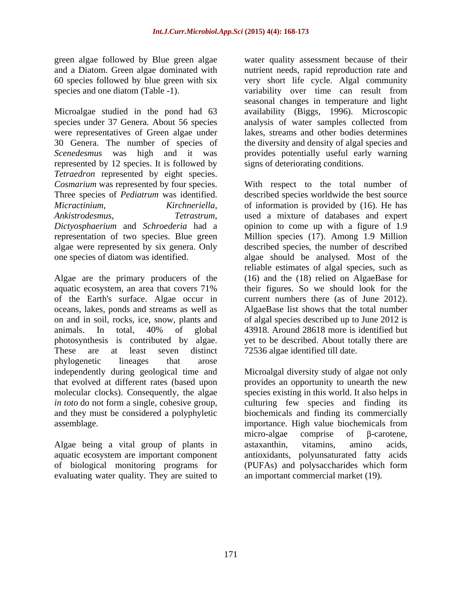Microalgae studied in the pond had 63 availability (Biggs, 1996). Microscopic species under 37 Genera. About 56 species analysis of water samples collected from were representatives of Green algae under 30 Genera. The number of species of the diversity and density of algal species and *Scenedesmus* was high and it was provides potentially useful early warning represented by 12 species. It is followed by *Tetraedron* represented by eight species. *Cosmarium* was represented by four species. Three species of *Pediatrum* was identified. described species worldwide the best source *Micractinium*, *Kirchneriella*, *Ankistrodesmus*, *Tetrastrum*, *Dictyosphaerium* and *Schroederia* had a opinion to come up with a figure of 1.9 representation of two species. Blue green Million species (17). Among 1.9 Million algae were represented by six genera. Only described species, the number of described

Algae are the primary producers of the (16) and the (18) relied on AlgaeBase for aquatic ecosystem, an area that covers 71% their figures. So we should look for the of the Earth's surface. Algae occur in current numbers there (as of June 2012). oceans, lakes, ponds and streams as well as on and in soil, rocks, ice, snow, plants and animals. In total, 40% of global photosynthesis is contributed by algae. yet to be described. About totally there are These are at least seven distinct 72536 algae identified till date. phylogenetic lineages that arose independently during geological time and Microalgal diversity study of algae not only that evolved at different rates (based upon provides an opportunity to unearth the new molecular clocks). Consequently, the algae species existing in this world. It also helps in *in toto* do not form a single, cohesive group, culturing few species and finding its and they must be considered a polyphyletic biochemicals and finding its commercially

Algae being a vital group of plants in astaxanthin, vitamins, amino acids, evaluating water quality. They are suited to

green algae followed by Blue green algae water quality assessment because of their and a Diatom. Green algae dominated with nutrient needs, rapid reproduction rate and 60 species followed by blue green with six very short life cycle. Algal community species and one diatom (Table -1). variability over time can result from seasonal changes in temperature and light lakes, streams and other bodies determines signs of deteriorating conditions.

one species of diatom was identified. algae should be analysed. Most of the With respect to the total number of of information is provided by (16). He has used a mixture of databases and expert reliable estimates of algal species, such as AlgaeBase list shows that the total number of algal species described up to June 2012 is 43918. Around 28618 more is identified but

assemblage. importance. High value biochemicals from aquatic ecosystem are important component antioxidants, polyunsaturated fatty acids of biological monitoring programs for (PUFAs) and polysaccharides which form micro-algae comprise of  $\beta$ -carotene, astaxanthin, vitamins, amino acids, an important commercial market (19).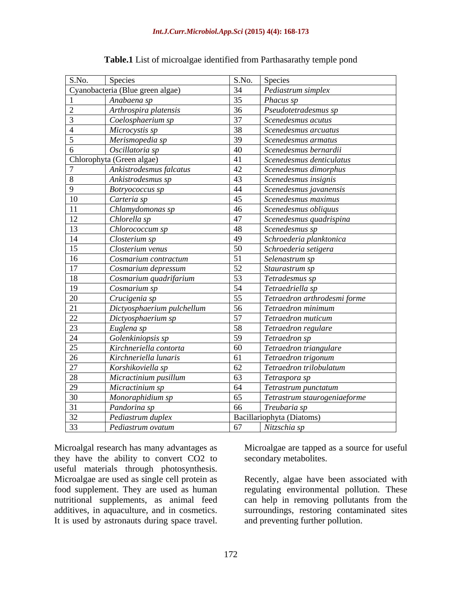| S.No.           | <b>Species</b>                   |    | S.No. Species                |
|-----------------|----------------------------------|----|------------------------------|
|                 | Cyanobacteria (Blue green algae) | 34 | Pediastrum simplex           |
|                 | Anabaena sp                      | 35 | Phacus sp                    |
|                 | Arthrospira platensis            | 36 | Pseudotetradesmus sp         |
|                 | Coelosphaerium sp                | 37 | Scenedesmus acutus           |
|                 | Microcystis sp                   | 38 | Scenedesmus arcuatus         |
|                 | Merismopedia sp                  | 39 | Scenedesmus armatus          |
|                 | Oscillatoria sp                  | 40 | Scenedesmus bernardii        |
|                 | Chlorophyta (Green algae)        | 41 | Scenedesmus denticulatus     |
|                 | Ankistrodesmus falcatus          | 42 | Scenedesmus dimorphus        |
|                 | Ankistrodesmus sp                | 43 | Scenedesmus insignis         |
| -9              | Botryococcus sp                  | 44 | Scenedesmus javanensis       |
| 10              | Carteria sp                      | 45 | Scenedesmus maximus          |
| 11              | Chlamydomonas sp                 | 46 | Scenedesmus obliquus         |
| 12              | Chlorella sp                     | 47 | Scenedesmus quadrispina      |
| <sup>13</sup>   | Chlorococcum sp                  | 48 | Scenedesmus sp               |
| 14              | Closterium sp                    | 49 | Schroederia planktonica      |
| 15              | Closterium venus                 | 50 | Schroederia setigera         |
| 16              | Cosmarium contractum             | 51 | Selenastrum sp               |
| 17              | Cosmarium depressum              | 52 | Staurastrum sp               |
| 18              | Cosmarium quadrifarium           | 53 | Tetradesmus sp               |
| 19              | Cosmarium sp                     | 54 | Tetraedriella sp             |
|                 | Crucigenia sp                    | 55 | Tetraedron arthrodesmi forme |
| $\frac{20}{21}$ | Dictyosphaerium pulchellum       | 56 | Tetraedron minimum           |
|                 | Dictyosphaerium sp               | 57 | Tetraedron muticum           |
| $\frac{22}{23}$ | Euglena sp                       | 58 | Tetraedron regulare          |
| 24              | Golenkiniopsis sp                | 59 | Tetraedron sp                |
| 25              | Kirchneriella contorta           | 60 | Tetraedron triangulare       |
| 26              | Kirchneriella lunaris            | 61 | Tetraedron trigonum          |
| 27              | Korshikoviella sp                | 62 | Tetraedron trilobulatum      |
| 28              | Micractinium pusillum            | 63 | Tetraspora sp                |
| 29              | Micractinium sp                  | 64 | Tetrastrum punctatum         |
| 30              | Monoraphidium sp                 | 65 | Tetrastrum staurogeniaeforme |
| 31              | Pandorina sp                     | 66 | Treubaria sp                 |
| 32              | Pediastrum duplex                |    | Bacillariophyta (Diatoms)    |
| 33              | Pediastrum ovatum                | 67 | Nitzschia sp                 |

| <b>Table.1</b> List of microalgae identified from Parthasarathy temple pond |  |
|-----------------------------------------------------------------------------|--|
|                                                                             |  |

Microalgal research has many advantages as Microalgae are tapped as a source for useful they have the ability to convert CO2 to useful materials through photosynthesis.<br>Microalgae are used as single cell protein as Microalgal research has many advantages as<br>
they have the ability to convert CO2 to<br>
useful materials through photosynthesis.<br>
Microalgae are used as single cell protein as<br>
food supplement. They are used as human<br>
regulat

secondary metabolites.

Microalgae are used as single cell protein as Recently, algae have been associated with food supplement. They are used as human regulating environmental pollution. These nutritional supplements, as animal feed can help in removing pollutants from the additives, in aquaculture, and in cosmetics. surroundings, restoring contaminated sites and preventing further pollution.